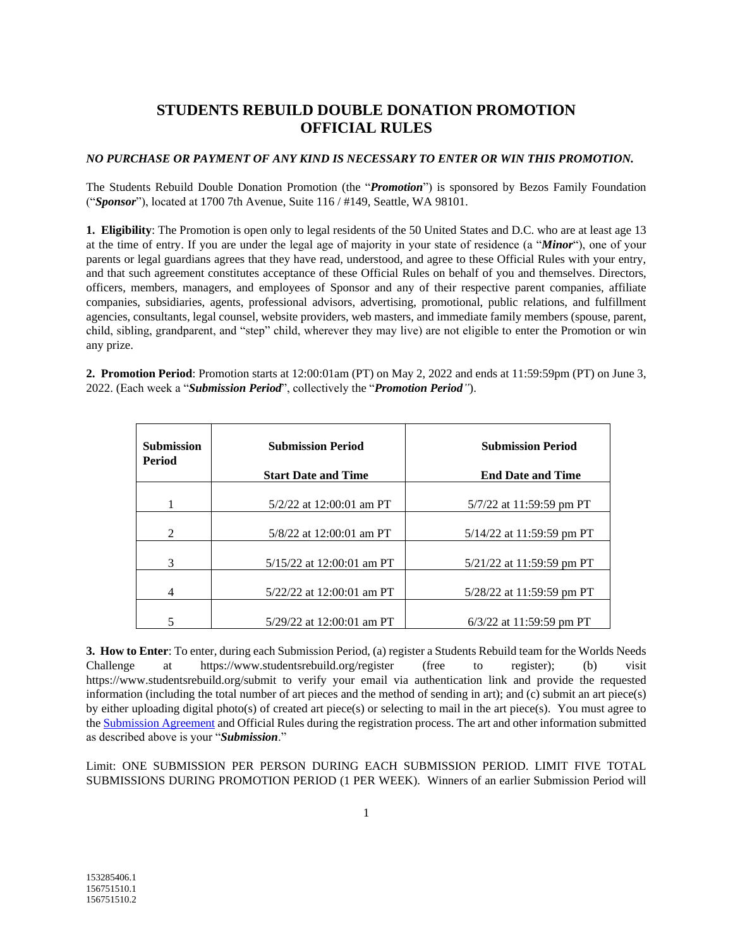## **STUDENTS REBUILD DOUBLE DONATION PROMOTION OFFICIAL RULES**

## *NO PURCHASE OR PAYMENT OF ANY KIND IS NECESSARY TO ENTER OR WIN THIS PROMOTION.*

The Students Rebuild Double Donation Promotion (the "*Promotion*") is sponsored by Bezos Family Foundation ("*Sponsor*"), located at 1700 7th Avenue, Suite 116 / #149, Seattle, WA 98101.

**1. Eligibility**: The Promotion is open only to legal residents of the 50 United States and D.C. who are at least age 13 at the time of entry. If you are under the legal age of majority in your state of residence (a "*Minor*"), one of your parents or legal guardians agrees that they have read, understood, and agree to these Official Rules with your entry, and that such agreement constitutes acceptance of these Official Rules on behalf of you and themselves. Directors, officers, members, managers, and employees of Sponsor and any of their respective parent companies, affiliate companies, subsidiaries, agents, professional advisors, advertising, promotional, public relations, and fulfillment agencies, consultants, legal counsel, website providers, web masters, and immediate family members (spouse, parent, child, sibling, grandparent, and "step" child, wherever they may live) are not eligible to enter the Promotion or win any prize.

**2. Promotion Period**: Promotion starts at 12:00:01am (PT) on May 2, 2022 and ends at 11:59:59pm (PT) on June 3, 2022. (Each week a "*Submission Period*", collectively the "*Promotion Period"*).

| <b>Submission</b><br>Period | <b>Submission Period</b>    | <b>Submission Period</b>    |
|-----------------------------|-----------------------------|-----------------------------|
|                             | <b>Start Date and Time</b>  | <b>End Date and Time</b>    |
|                             | $5/2/22$ at 12:00:01 am PT  | $5/7/22$ at 11:59:59 pm PT  |
| $\mathcal{D}_{\mathcal{L}}$ | $5/8/22$ at 12:00:01 am PT  | $5/14/22$ at 11:59:59 pm PT |
| 3                           | $5/15/22$ at 12:00:01 am PT | $5/21/22$ at 11:59:59 pm PT |
| 4                           | $5/22/22$ at 12:00:01 am PT | $5/28/22$ at 11:59:59 pm PT |
| 5                           | $5/29/22$ at 12:00:01 am PT | $6/3/22$ at 11:59:59 pm PT  |

**3. How to Enter**: To enter, during each Submission Period, (a) register a Students Rebuild team for the Worlds Needs Challenge at https://www.studentsrebuild.org/register (free to register); (b) visit https://www.studentsrebuild.org/submit to verify your email via authentication link and provide the requested information (including the total number of art pieces and the method of sending in art); and (c) submit an art piece(s) by either uploading digital photo(s) of created art piece(s) or selecting to mail in the art piece(s). You must agree to th[e Submission Agreement](https://www.studentsrebuild.org/submission-agreement) and Official Rules during the registration process. The art and other information submitted as described above is your "*Submission*."

Limit: ONE SUBMISSION PER PERSON DURING EACH SUBMISSION PERIOD. LIMIT FIVE TOTAL SUBMISSIONS DURING PROMOTION PERIOD (1 PER WEEK). Winners of an earlier Submission Period will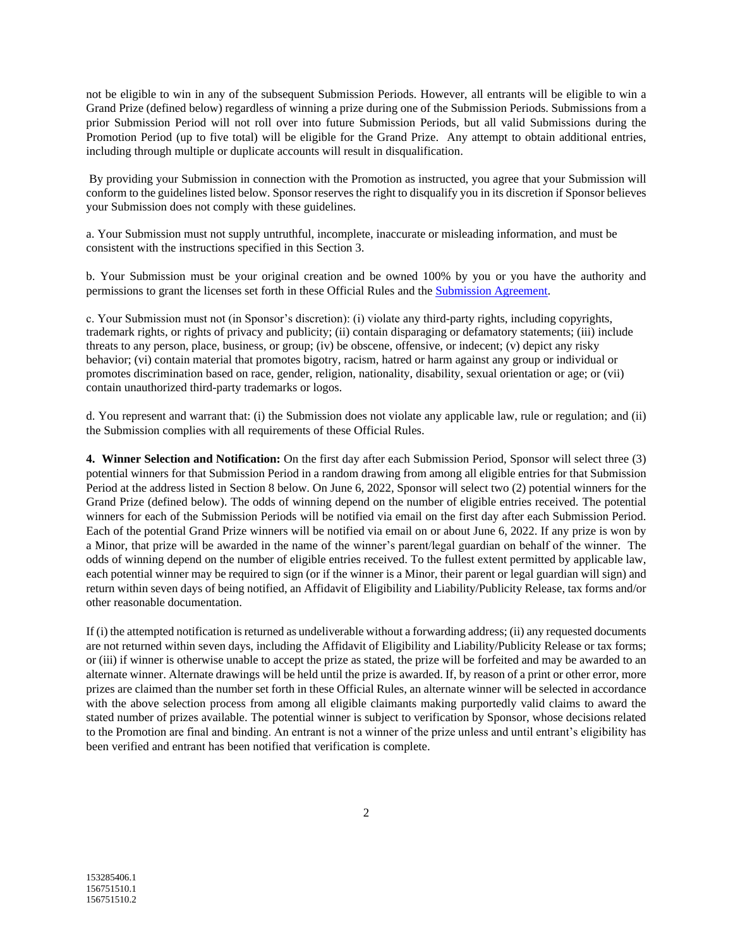not be eligible to win in any of the subsequent Submission Periods. However, all entrants will be eligible to win a Grand Prize (defined below) regardless of winning a prize during one of the Submission Periods. Submissions from a prior Submission Period will not roll over into future Submission Periods, but all valid Submissions during the Promotion Period (up to five total) will be eligible for the Grand Prize. Any attempt to obtain additional entries, including through multiple or duplicate accounts will result in disqualification.

By providing your Submission in connection with the Promotion as instructed, you agree that your Submission will conform to the guidelines listed below. Sponsor reserves the right to disqualify you in its discretion if Sponsor believes your Submission does not comply with these guidelines.

a. Your Submission must not supply untruthful, incomplete, inaccurate or misleading information, and must be consistent with the instructions specified in this Section 3.

b. Your Submission must be your original creation and be owned 100% by you or you have the authority and permissions to grant the licenses set forth in these Official Rules and the [Submission Agreement.](https://www.studentsrebuild.org/submission-agreement)

c. Your Submission must not (in Sponsor's discretion): (i) violate any third-party rights, including copyrights, trademark rights, or rights of privacy and publicity; (ii) contain disparaging or defamatory statements; (iii) include threats to any person, place, business, or group; (iv) be obscene, offensive, or indecent; (v) depict any risky behavior; (vi) contain material that promotes bigotry, racism, hatred or harm against any group or individual or promotes discrimination based on race, gender, religion, nationality, disability, sexual orientation or age; or (vii) contain unauthorized third-party trademarks or logos.

d. You represent and warrant that: (i) the Submission does not violate any applicable law, rule or regulation; and (ii) the Submission complies with all requirements of these Official Rules.

**4. Winner Selection and Notification:** On the first day after each Submission Period, Sponsor will select three (3) potential winners for that Submission Period in a random drawing from among all eligible entries for that Submission Period at the address listed in Section 8 below. On June 6, 2022, Sponsor will select two (2) potential winners for the Grand Prize (defined below). The odds of winning depend on the number of eligible entries received. The potential winners for each of the Submission Periods will be notified via email on the first day after each Submission Period. Each of the potential Grand Prize winners will be notified via email on or about June 6, 2022. If any prize is won by a Minor, that prize will be awarded in the name of the winner's parent/legal guardian on behalf of the winner. The odds of winning depend on the number of eligible entries received. To the fullest extent permitted by applicable law, each potential winner may be required to sign (or if the winner is a Minor, their parent or legal guardian will sign) and return within seven days of being notified, an Affidavit of Eligibility and Liability/Publicity Release, tax forms and/or other reasonable documentation.

If (i) the attempted notification is returned as undeliverable without a forwarding address; (ii) any requested documents are not returned within seven days, including the Affidavit of Eligibility and Liability/Publicity Release or tax forms; or (iii) if winner is otherwise unable to accept the prize as stated, the prize will be forfeited and may be awarded to an alternate winner. Alternate drawings will be held until the prize is awarded. If, by reason of a print or other error, more prizes are claimed than the number set forth in these Official Rules, an alternate winner will be selected in accordance with the above selection process from among all eligible claimants making purportedly valid claims to award the stated number of prizes available. The potential winner is subject to verification by Sponsor, whose decisions related to the Promotion are final and binding. An entrant is not a winner of the prize unless and until entrant's eligibility has been verified and entrant has been notified that verification is complete.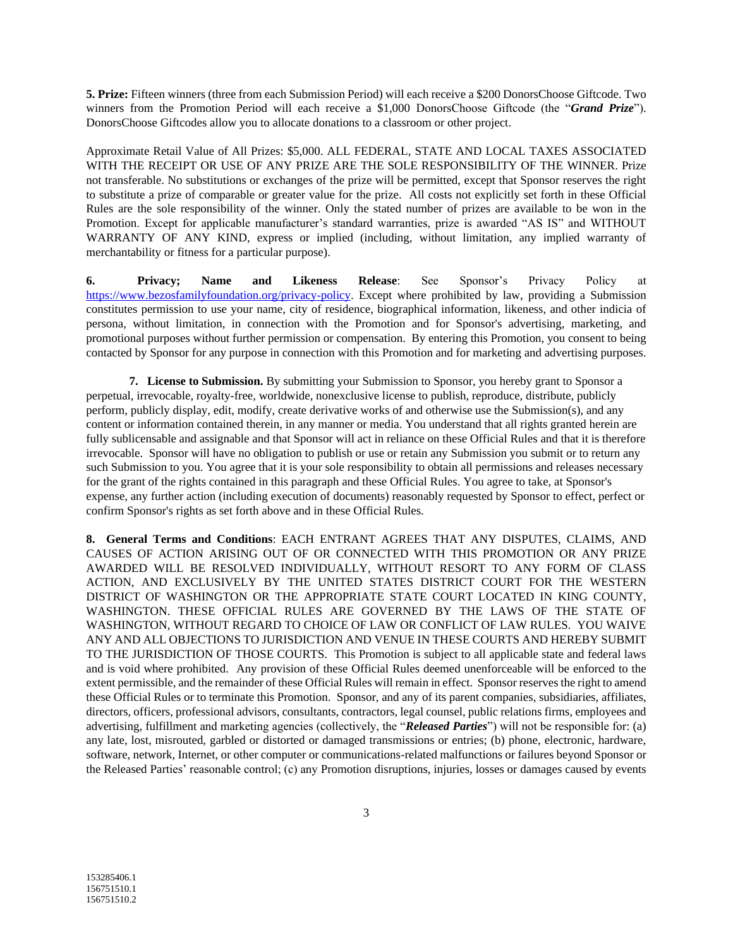**5. Prize:** Fifteen winners (three from each Submission Period) will each receive a \$200 DonorsChoose Giftcode. Two winners from the Promotion Period will each receive a \$1,000 DonorsChoose Giftcode (the "*Grand Prize*"). DonorsChoose Giftcodes allow you to allocate donations to a classroom or other project.

Approximate Retail Value of All Prizes: \$5,000. ALL FEDERAL, STATE AND LOCAL TAXES ASSOCIATED WITH THE RECEIPT OR USE OF ANY PRIZE ARE THE SOLE RESPONSIBILITY OF THE WINNER. Prize not transferable. No substitutions or exchanges of the prize will be permitted, except that Sponsor reserves the right to substitute a prize of comparable or greater value for the prize. All costs not explicitly set forth in these Official Rules are the sole responsibility of the winner. Only the stated number of prizes are available to be won in the Promotion. Except for applicable manufacturer's standard warranties, prize is awarded "AS IS" and WITHOUT WARRANTY OF ANY KIND, express or implied (including, without limitation, any implied warranty of merchantability or fitness for a particular purpose).

**6. Privacy; Name and Likeness Release**: See Sponsor's Privacy Policy at [https://www.bezosfamilyfoundation.org/privacy-policy.](https://www.bezosfamilyfoundation.org/privacy-policy) Except where prohibited by law, providing a Submission constitutes permission to use your name, city of residence, biographical information, likeness, and other indicia of persona, without limitation, in connection with the Promotion and for Sponsor's advertising, marketing, and promotional purposes without further permission or compensation. By entering this Promotion, you consent to being contacted by Sponsor for any purpose in connection with this Promotion and for marketing and advertising purposes.

**7. License to Submission.** By submitting your Submission to Sponsor, you hereby grant to Sponsor a perpetual, irrevocable, royalty-free, worldwide, nonexclusive license to publish, reproduce, distribute, publicly perform, publicly display, edit, modify, create derivative works of and otherwise use the Submission(s), and any content or information contained therein, in any manner or media. You understand that all rights granted herein are fully sublicensable and assignable and that Sponsor will act in reliance on these Official Rules and that it is therefore irrevocable. Sponsor will have no obligation to publish or use or retain any Submission you submit or to return any such Submission to you. You agree that it is your sole responsibility to obtain all permissions and releases necessary for the grant of the rights contained in this paragraph and these Official Rules. You agree to take, at Sponsor's expense, any further action (including execution of documents) reasonably requested by Sponsor to effect, perfect or confirm Sponsor's rights as set forth above and in these Official Rules.

**8. General Terms and Conditions**: EACH ENTRANT AGREES THAT ANY DISPUTES, CLAIMS, AND CAUSES OF ACTION ARISING OUT OF OR CONNECTED WITH THIS PROMOTION OR ANY PRIZE AWARDED WILL BE RESOLVED INDIVIDUALLY, WITHOUT RESORT TO ANY FORM OF CLASS ACTION, AND EXCLUSIVELY BY THE UNITED STATES DISTRICT COURT FOR THE WESTERN DISTRICT OF WASHINGTON OR THE APPROPRIATE STATE COURT LOCATED IN KING COUNTY, WASHINGTON. THESE OFFICIAL RULES ARE GOVERNED BY THE LAWS OF THE STATE OF WASHINGTON, WITHOUT REGARD TO CHOICE OF LAW OR CONFLICT OF LAW RULES. YOU WAIVE ANY AND ALL OBJECTIONS TO JURISDICTION AND VENUE IN THESE COURTS AND HEREBY SUBMIT TO THE JURISDICTION OF THOSE COURTS. This Promotion is subject to all applicable state and federal laws and is void where prohibited. Any provision of these Official Rules deemed unenforceable will be enforced to the extent permissible, and the remainder of these Official Rules will remain in effect. Sponsor reserves the right to amend these Official Rules or to terminate this Promotion. Sponsor, and any of its parent companies, subsidiaries, affiliates, directors, officers, professional advisors, consultants, contractors, legal counsel, public relations firms, employees and advertising, fulfillment and marketing agencies (collectively, the "*Released Parties*") will not be responsible for: (a) any late, lost, misrouted, garbled or distorted or damaged transmissions or entries; (b) phone, electronic, hardware, software, network, Internet, or other computer or communications-related malfunctions or failures beyond Sponsor or the Released Parties' reasonable control; (c) any Promotion disruptions, injuries, losses or damages caused by events